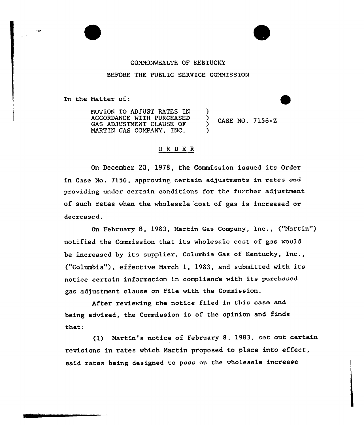#### COMMONWEALTH OF KENTUCKY

#### BEFORE THE PUBLIC SERVICE COMMISSION

) ز<br>} )

)

In the Matter of:

MOTION TO ADJUST RATES IN ACCORDANCE WITH PURCHASED GAS ADJUSTMENT CLAUSE OF MARTIN GAS COMPANY, INC.

CASE NO. 7156-Z

# ORDER

On December 20, 1978, the Commission issued its Order in Case No. 7156, approving certain adjustments in rates and providing under certain conditions for the further adjustment of such rates when the wholesale cost of gas is increased or decreased.

On February 8, 1983, Martin Gas Company, Inc., ("Martin" ) notified the Commission that its wholesale cost of gas would be increased by its supplier, Columbia Gas of Kentucky, Inc., ("Columbia"), effective March 1, 1983, and submitted with its notice certain information in complianc'e with its purchased gas adjustment clause on file with the Commission.

After reviewing the notice filed in this case and being advised, the Commission is of the opinion and finds that:

(1) Martin's notice of February 8, 1983, set out certain revisions in rates which Martin proposed to place into effect, said rates being designed to pass on the wholesale increase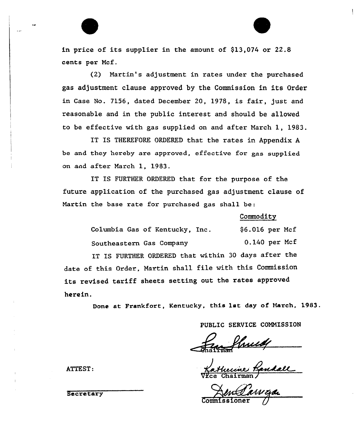in price of its supplier in the amount of  $$13,074$  or  $22.8$ cents per Mcf.

(2) Nartin's adjustment in rates under the purchased gas adjustment clause approved by the Commission in its Order in Case No. 7156, dated December 20, 1978, is fair, just and reasonable and in the public interest and should be allowed to be effective with gas supplied on and after March 1, 1983.

IT IS THEREFORE ORDERED that the rates in Appendix <sup>A</sup> be and they hereby are approved, effective for gas supplied on and after March 1, 1983.

IT IS FURTHER ORDERED that for the purpose of the future application of the purchased gas adjustment clause of Martin the base rate for purchased gas shall be:

### Commodity

| herein.                                                    |                  |  |  |  |
|------------------------------------------------------------|------------------|--|--|--|
| its revised tariff sheets setting out the rates approved   |                  |  |  |  |
| date of this Order, Martin shall file with this Commission |                  |  |  |  |
| IT IS FURTHER ORDERED that within 30 days after the        |                  |  |  |  |
| Southeastern Gas Company                                   | $0.140$ per Mcf  |  |  |  |
| Columbia Gas of Kentucky, Inc.                             | $$6.016$ per Mcf |  |  |  |

Done at Frankfort, Kentucky, this lat day of March, 1983.

PUBLIC SERVICE COMMISSION

Vice Chairman/

Commissioner (

ATTEST:

**Secretary**